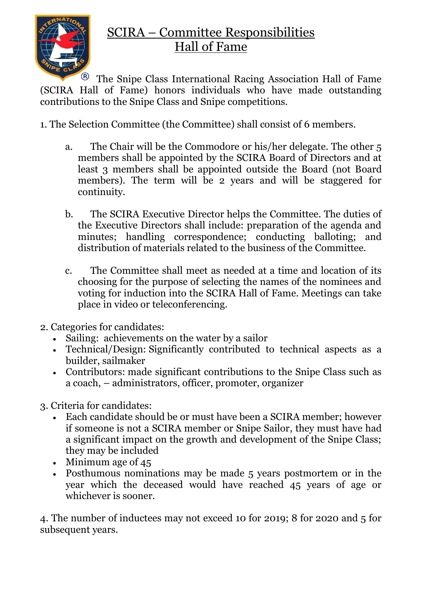

## SCIRA – Committee Responsibilities Hall of Fame

 $\mathbb{R}$  The Snipe Class International Racing Association Hall of Fame (SCIRA Hall of Fame) honors individuals who have made outstanding contributions to the Snipe Class and Snipe competitions.

- 1. The Selection Committee (the Committee) shall consist of 6 members.
	- a. The Chair will be the Commodore or his/her delegate. The other 5 members shall be appointed by the SCIRA Board of Directors and at least 3 members shall be appointed outside the Board (not Board members). The term will be 2 years and will be staggered for continuity.
	- b. The SCIRA Executive Director helps the Committee. The duties of the Executive Directors shall include: preparation of the agenda and minutes; handling correspondence; conducting balloting; and distribution of materials related to the business of the Committee.
	- c. The Committee shall meet as needed at a time and location of its choosing for the purpose of selecting the names of the nominees and voting for induction into the SCIRA Hall of Fame. Meetings can take place in video or teleconferencing.
- 2. Categories for candidates:
	- Sailing: achievements on the water by a sailor
	- Technical/Design: Significantly contributed to technical aspects as a builder, sailmaker
	- Contributors: made significant contributions to the Snipe Class such as a coach, – administrators, officer, promoter, organizer
- 3. Criteria for candidates:
	- Each candidate should be or must have been a SCIRA member; however if someone is not a SCIRA member or Snipe Sailor, they must have had a significant impact on the growth and development of the Snipe Class; they may be included
	- Minimum age of 45
	- Posthumous nominations may be made 5 years postmortem or in the year which the deceased would have reached 45 years of age or whichever is sooner.

4. The number of inductees may not exceed 10 for 2019; 8 for 2020 and 5 for subsequent years.